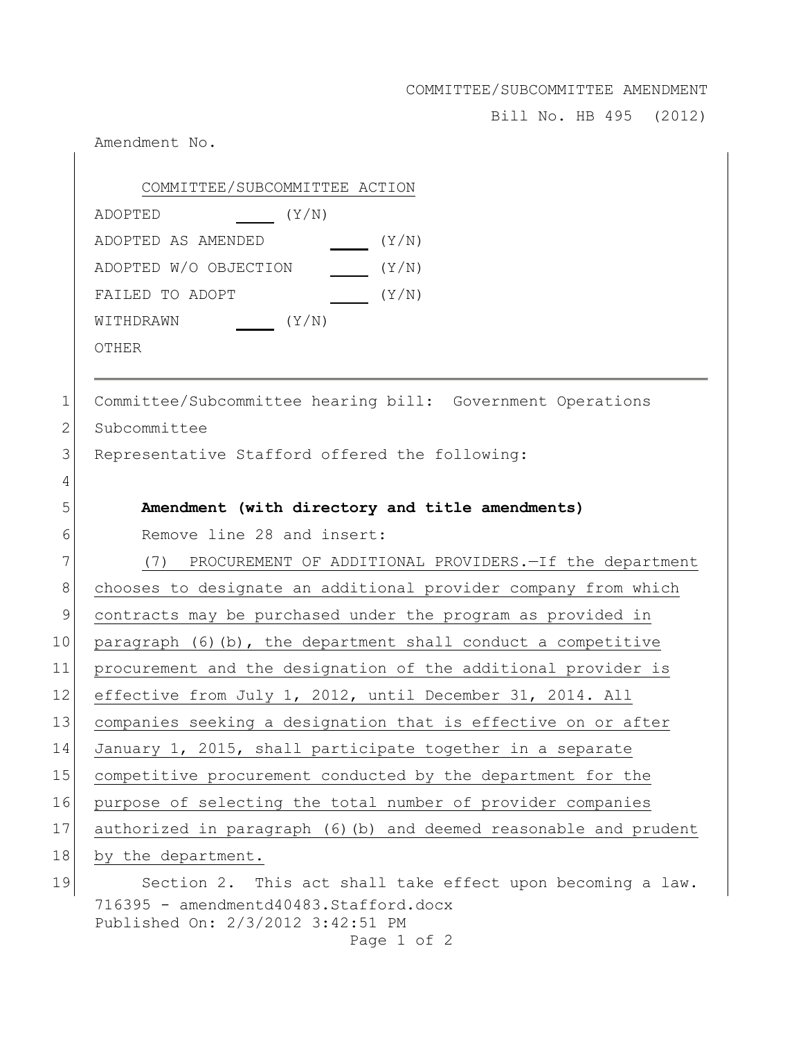## COMMITTEE/SUBCOMMITTEE AMENDMENT

Bill No. HB 495 (2012)

|             | Amendment No.                                                                              |
|-------------|--------------------------------------------------------------------------------------------|
|             | COMMITTEE/SUBCOMMITTEE ACTION                                                              |
|             | (Y/N)<br>ADOPTED                                                                           |
|             | ADOPTED AS AMENDED<br>(Y/N)                                                                |
|             | ADOPTED W/O OBJECTION<br>(Y/N)                                                             |
|             | FAILED TO ADOPT<br>(Y/N)                                                                   |
|             | (Y/N)<br>WITHDRAWN                                                                         |
|             | OTHER                                                                                      |
|             |                                                                                            |
| $\mathbf 1$ | Committee/Subcommittee hearing bill: Government Operations                                 |
| 2           | Subcommittee                                                                               |
| 3           | Representative Stafford offered the following:                                             |
| 4           |                                                                                            |
| 5           | Amendment (with directory and title amendments)                                            |
| 6           | Remove line 28 and insert:                                                                 |
| 7           | (7) PROCUREMENT OF ADDITIONAL PROVIDERS. - If the department                               |
| $8\,$       | chooses to designate an additional provider company from which                             |
| $\mathsf 9$ | contracts may be purchased under the program as provided in                                |
| 10          | paragraph $(6)$ (b), the department shall conduct a competitive                            |
| 11          | procurement and the designation of the additional provider is                              |
| 12          | effective from July 1, 2012, until December 31, 2014. All                                  |
| 13          | companies seeking a designation that is effective on or after                              |
| 14          | January 1, 2015, shall participate together in a separate                                  |
| 15          | competitive procurement conducted by the department for the                                |
| 16          | purpose of selecting the total number of provider companies                                |
| 17          | authorized in paragraph (6) (b) and deemed reasonable and prudent                          |
| 18          | by the department.                                                                         |
| 19          | Section 2. This act shall take effect upon becoming a law.                                 |
|             | 716395 - amendmentd40483.Stafford.docx<br>Published On: 2/3/2012 3:42:51 PM<br>Page 1 of 2 |